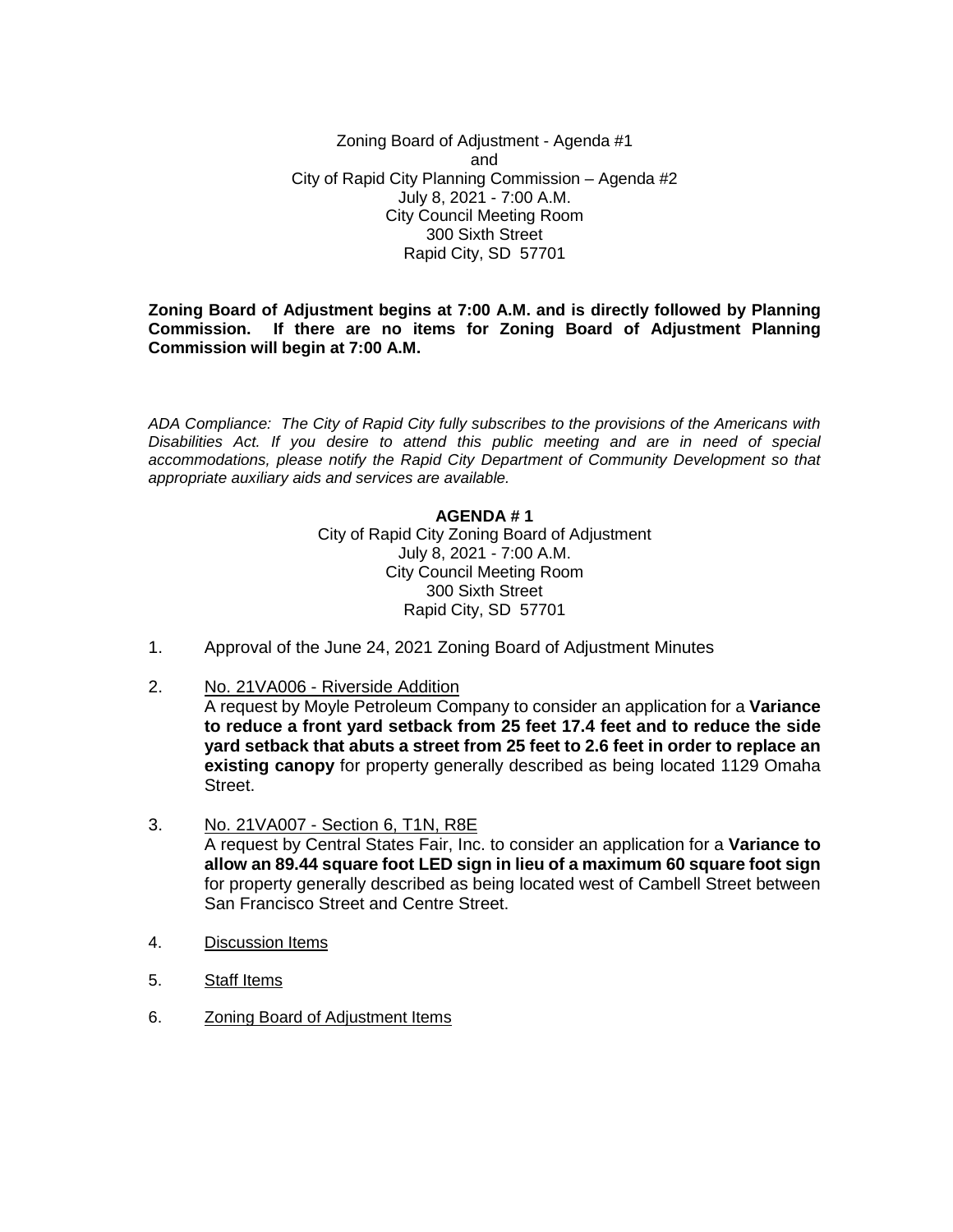Zoning Board of Adjustment - Agenda #1 and City of Rapid City Planning Commission – Agenda #2 July 8, 2021 - 7:00 A.M. City Council Meeting Room 300 Sixth Street Rapid City, SD 57701

#### **Zoning Board of Adjustment begins at 7:00 A.M. and is directly followed by Planning Commission. If there are no items for Zoning Board of Adjustment Planning Commission will begin at 7:00 A.M.**

*ADA Compliance: The City of Rapid City fully subscribes to the provisions of the Americans with Disabilities Act. If you desire to attend this public meeting and are in need of special accommodations, please notify the Rapid City Department of Community Development so that appropriate auxiliary aids and services are available.*

## **AGENDA # 1**

City of Rapid City Zoning Board of Adjustment July 8, 2021 - 7:00 A.M. City Council Meeting Room 300 Sixth Street Rapid City, SD 57701

- 1. Approval of the June 24, 2021 Zoning Board of Adjustment Minutes
- 2. No. 21VA006 Riverside Addition
	- A request by Moyle Petroleum Company to consider an application for a **Variance to reduce a front yard setback from 25 feet 17.4 feet and to reduce the side yard setback that abuts a street from 25 feet to 2.6 feet in order to replace an existing canopy** for property generally described as being located 1129 Omaha Street.
- 3. No. 21VA007 Section 6, T1N, R8E A request by Central States Fair, Inc. to consider an application for a **Variance to allow an 89.44 square foot LED sign in lieu of a maximum 60 square foot sign** for property generally described as being located west of Cambell Street between San Francisco Street and Centre Street.
- 4. Discussion Items
- 5. Staff Items
- 6. Zoning Board of Adjustment Items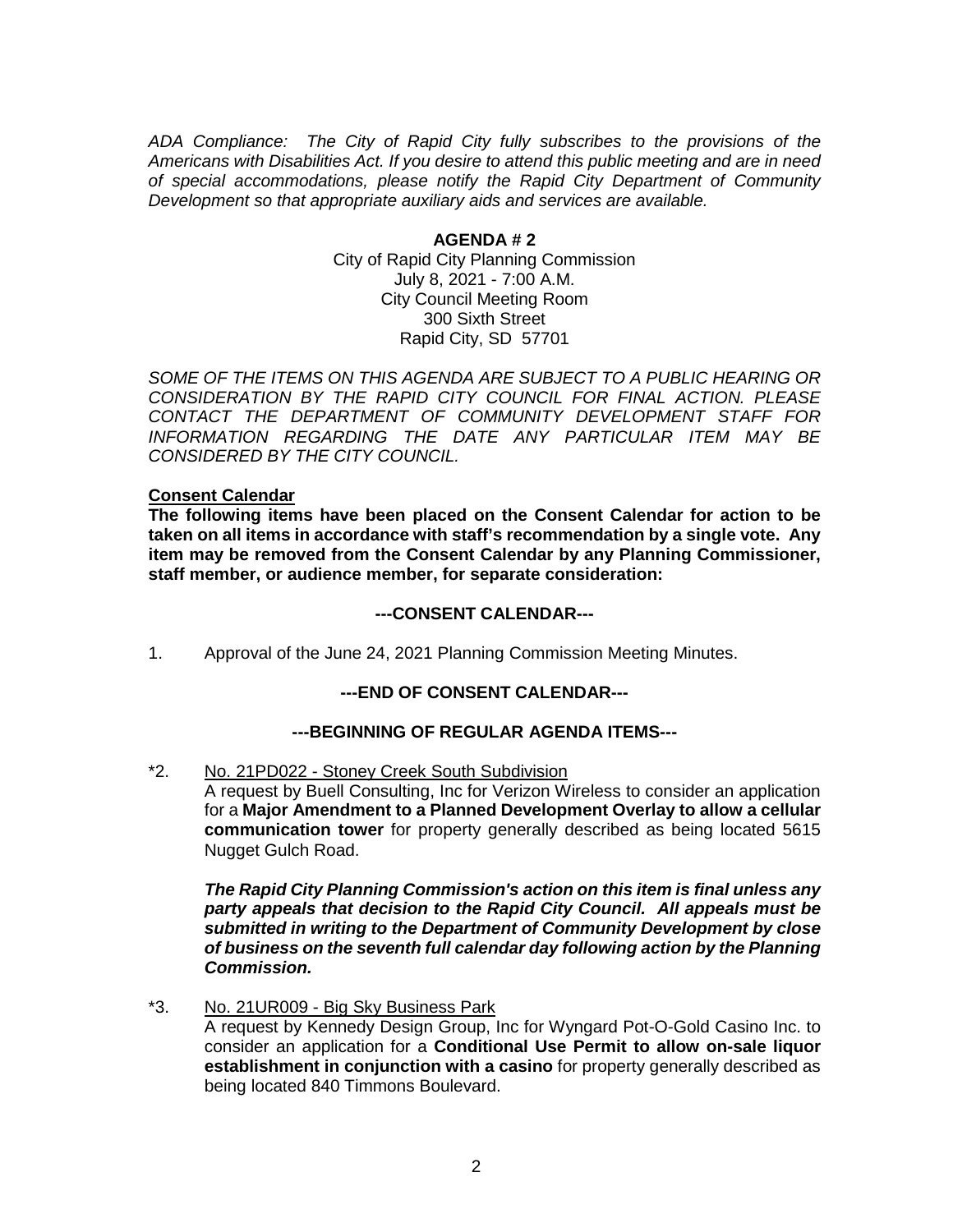*ADA Compliance: The City of Rapid City fully subscribes to the provisions of the Americans with Disabilities Act. If you desire to attend this public meeting and are in need of special accommodations, please notify the Rapid City Department of Community Development so that appropriate auxiliary aids and services are available.*

> **AGENDA # 2** City of Rapid City Planning Commission July 8, 2021 - 7:00 A.M. City Council Meeting Room 300 Sixth Street Rapid City, SD 57701

*SOME OF THE ITEMS ON THIS AGENDA ARE SUBJECT TO A PUBLIC HEARING OR CONSIDERATION BY THE RAPID CITY COUNCIL FOR FINAL ACTION. PLEASE CONTACT THE DEPARTMENT OF COMMUNITY DEVELOPMENT STAFF FOR INFORMATION REGARDING THE DATE ANY PARTICULAR ITEM MAY BE CONSIDERED BY THE CITY COUNCIL.*

## **Consent Calendar**

**The following items have been placed on the Consent Calendar for action to be taken on all items in accordance with staff's recommendation by a single vote. Any item may be removed from the Consent Calendar by any Planning Commissioner, staff member, or audience member, for separate consideration:**

#### **---CONSENT CALENDAR---**

1. Approval of the June 24, 2021 Planning Commission Meeting Minutes.

# **---END OF CONSENT CALENDAR---**

## **---BEGINNING OF REGULAR AGENDA ITEMS---**

\*2. No. 21PD022 - Stoney Creek South Subdivision

A request by Buell Consulting, Inc for Verizon Wireless to consider an application for a **Major Amendment to a Planned Development Overlay to allow a cellular communication tower** for property generally described as being located 5615 Nugget Gulch Road.

*The Rapid City Planning Commission's action on this item is final unless any party appeals that decision to the Rapid City Council. All appeals must be submitted in writing to the Department of Community Development by close of business on the seventh full calendar day following action by the Planning Commission.*

\*3. No. 21UR009 - Big Sky Business Park

A request by Kennedy Design Group, Inc for Wyngard Pot-O-Gold Casino Inc. to consider an application for a **Conditional Use Permit to allow on-sale liquor establishment in conjunction with a casino** for property generally described as being located 840 Timmons Boulevard.